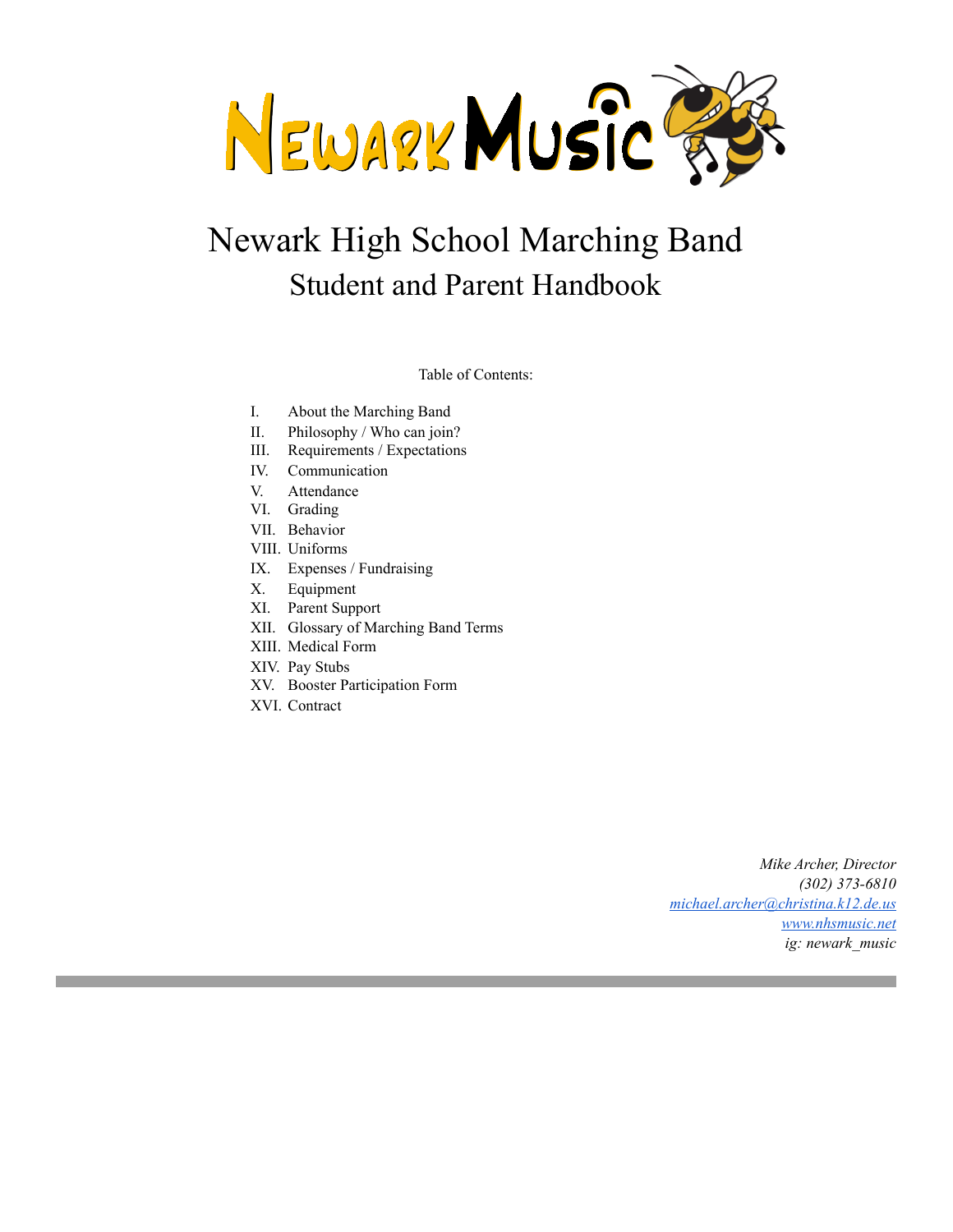NEWARK MUSIC

# Newark High School Marching Band Student and Parent Handbook

Table of Contents:

- I. About the Marching Band
- II. Philosophy / Who can join?
- III. Requirements / Expectations
- IV. Communication
- V. Attendance
- VI. Grading
- VII. Behavior
- VIII. Uniforms
- IX. Expenses / Fundraising
- X. Equipment
- XI. Parent Support
- XII. Glossary of Marching Band Terms
- XIII. Medical Form
- XIV. Pay Stubs
- XV. Booster Participation Form
- XVI. Contract

*Mike Archer, Director (302) 373-6810 [michael.archer@christina.k12.de.us](mailto:michael.archer@christina.k12.de.us) [www.nhsmusic.net](http://www.nhsmusic.net) ig: newark\_music*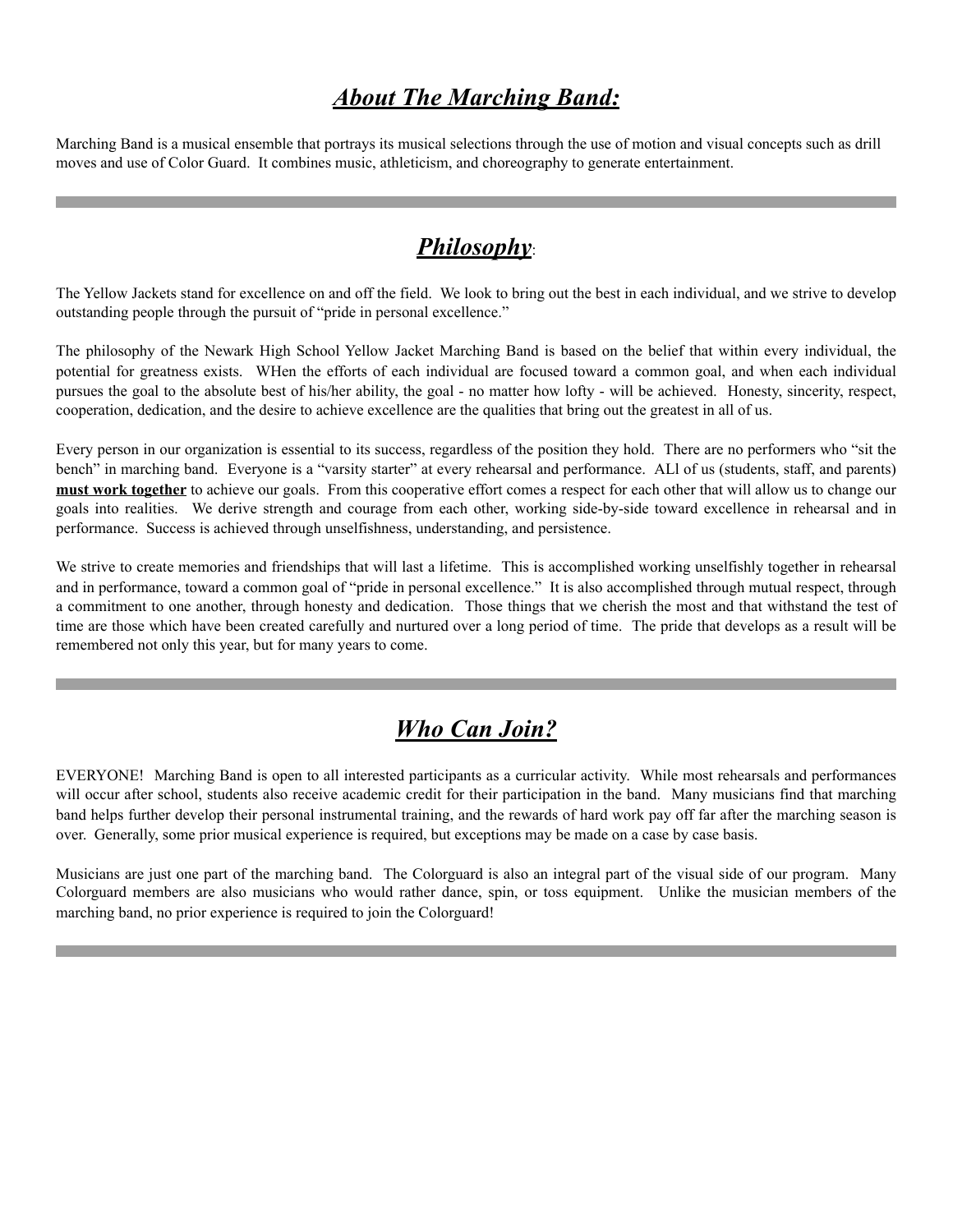### *About The Marching Band:*

Marching Band is a musical ensemble that portrays its musical selections through the use of motion and visual concepts such as drill moves and use of Color Guard. It combines music, athleticism, and choreography to generate entertainment.

### *Philosophy*:

The Yellow Jackets stand for excellence on and off the field. We look to bring out the best in each individual, and we strive to develop outstanding people through the pursuit of "pride in personal excellence."

The philosophy of the Newark High School Yellow Jacket Marching Band is based on the belief that within every individual, the potential for greatness exists. WHen the efforts of each individual are focused toward a common goal, and when each individual pursues the goal to the absolute best of his/her ability, the goal - no matter how lofty - will be achieved. Honesty, sincerity, respect, cooperation, dedication, and the desire to achieve excellence are the qualities that bring out the greatest in all of us.

Every person in our organization is essential to its success, regardless of the position they hold. There are no performers who "sit the bench" in marching band. Everyone is a "varsity starter" at every rehearsal and performance. ALl of us (students, staff, and parents) **must work together** to achieve our goals. From this cooperative effort comes a respect for each other that will allow us to change our goals into realities. We derive strength and courage from each other, working side-by-side toward excellence in rehearsal and in performance. Success is achieved through unselfishness, understanding, and persistence.

We strive to create memories and friendships that will last a lifetime. This is accomplished working unselfishly together in rehearsal and in performance, toward a common goal of "pride in personal excellence." It is also accomplished through mutual respect, through a commitment to one another, through honesty and dedication. Those things that we cherish the most and that withstand the test of time are those which have been created carefully and nurtured over a long period of time. The pride that develops as a result will be remembered not only this year, but for many years to come.

### *Who Can Join?*

EVERYONE! Marching Band is open to all interested participants as a curricular activity. While most rehearsals and performances will occur after school, students also receive academic credit for their participation in the band. Many musicians find that marching band helps further develop their personal instrumental training, and the rewards of hard work pay off far after the marching season is over. Generally, some prior musical experience is required, but exceptions may be made on a case by case basis.

Musicians are just one part of the marching band. The Colorguard is also an integral part of the visual side of our program. Many Colorguard members are also musicians who would rather dance, spin, or toss equipment. Unlike the musician members of the marching band, no prior experience is required to join the Colorguard!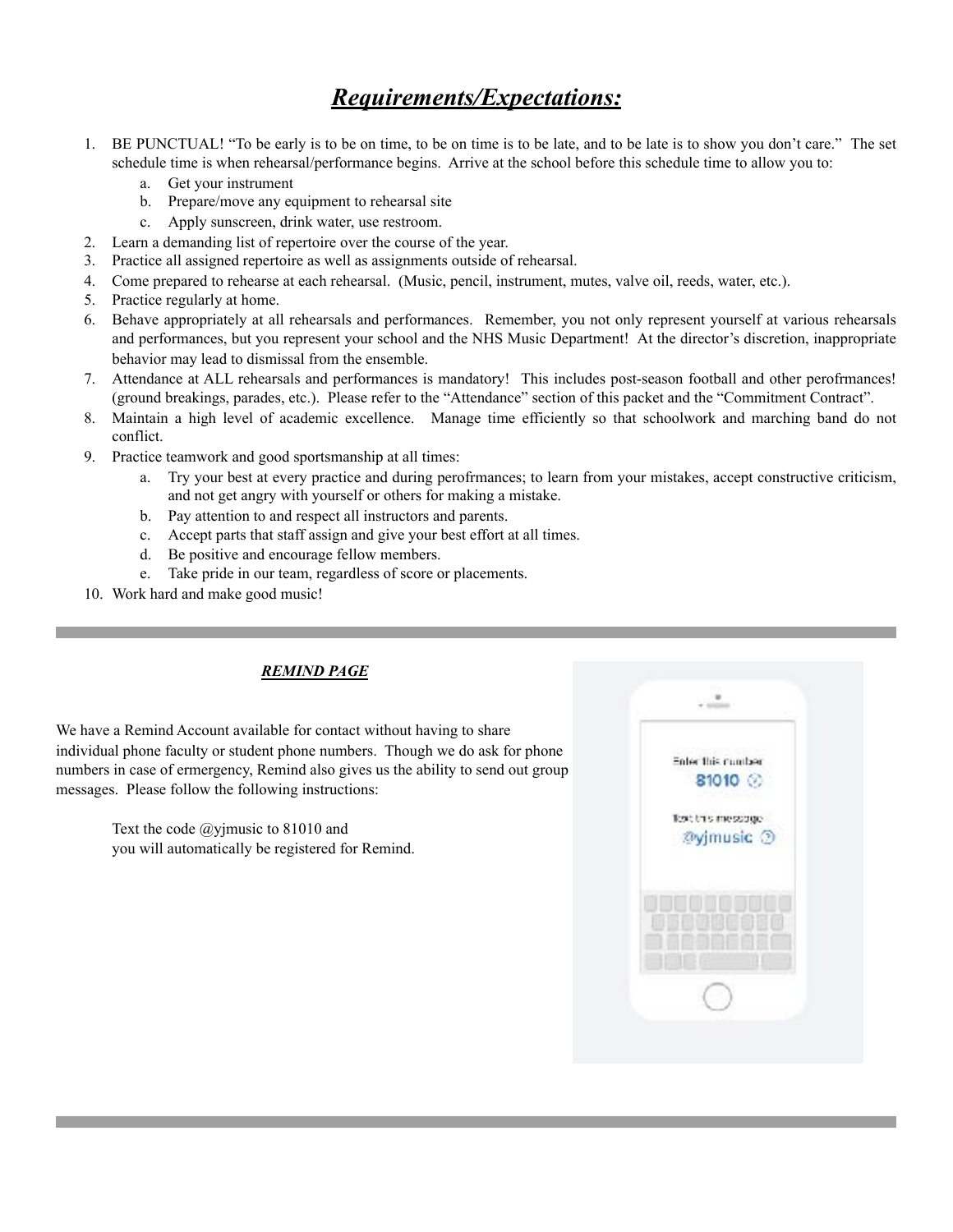### *Requirements/Expectations:*

- 1. BE PUNCTUAL! "To be early is to be on time, to be on time is to be late, and to be late is to show you don't care." The set schedule time is when rehearsal/performance begins. Arrive at the school before this schedule time to allow you to:
	- a. Get your instrument
	- b. Prepare/move any equipment to rehearsal site
	- c. Apply sunscreen, drink water, use restroom.
- 2. Learn a demanding list of repertoire over the course of the year.
- 3. Practice all assigned repertoire as well as assignments outside of rehearsal.
- 4. Come prepared to rehearse at each rehearsal. (Music, pencil, instrument, mutes, valve oil, reeds, water, etc.).
- 5. Practice regularly at home.
- 6. Behave appropriately at all rehearsals and performances. Remember, you not only represent yourself at various rehearsals and performances, but you represent your school and the NHS Music Department! At the director's discretion, inappropriate behavior may lead to dismissal from the ensemble.
- 7. Attendance at ALL rehearsals and performances is mandatory! This includes post-season football and other perofrmances! (ground breakings, parades, etc.). Please refer to the "Attendance" section of this packet and the "Commitment Contract".
- 8. Maintain a high level of academic excellence. Manage time efficiently so that schoolwork and marching band do not conflict.
- 9. Practice teamwork and good sportsmanship at all times:
	- a. Try your best at every practice and during perofrmances; to learn from your mistakes, accept constructive criticism, and not get angry with yourself or others for making a mistake.
	- b. Pay attention to and respect all instructors and parents.
	- c. Accept parts that staff assign and give your best effort at all times.
	- d. Be positive and encourage fellow members.
	- e. Take pride in our team, regardless of score or placements.
- 10. Work hard and make good music!

### *REMIND PAGE*

We have a Remind Account available for contact without having to share individual phone faculty or student phone numbers. Though we do ask for phone numbers in case of ermergency, Remind also gives us the ability to send out group messages. Please follow the following instructions:

> Text the code @yjmusic to 81010 and you will automatically be registered for Remind.

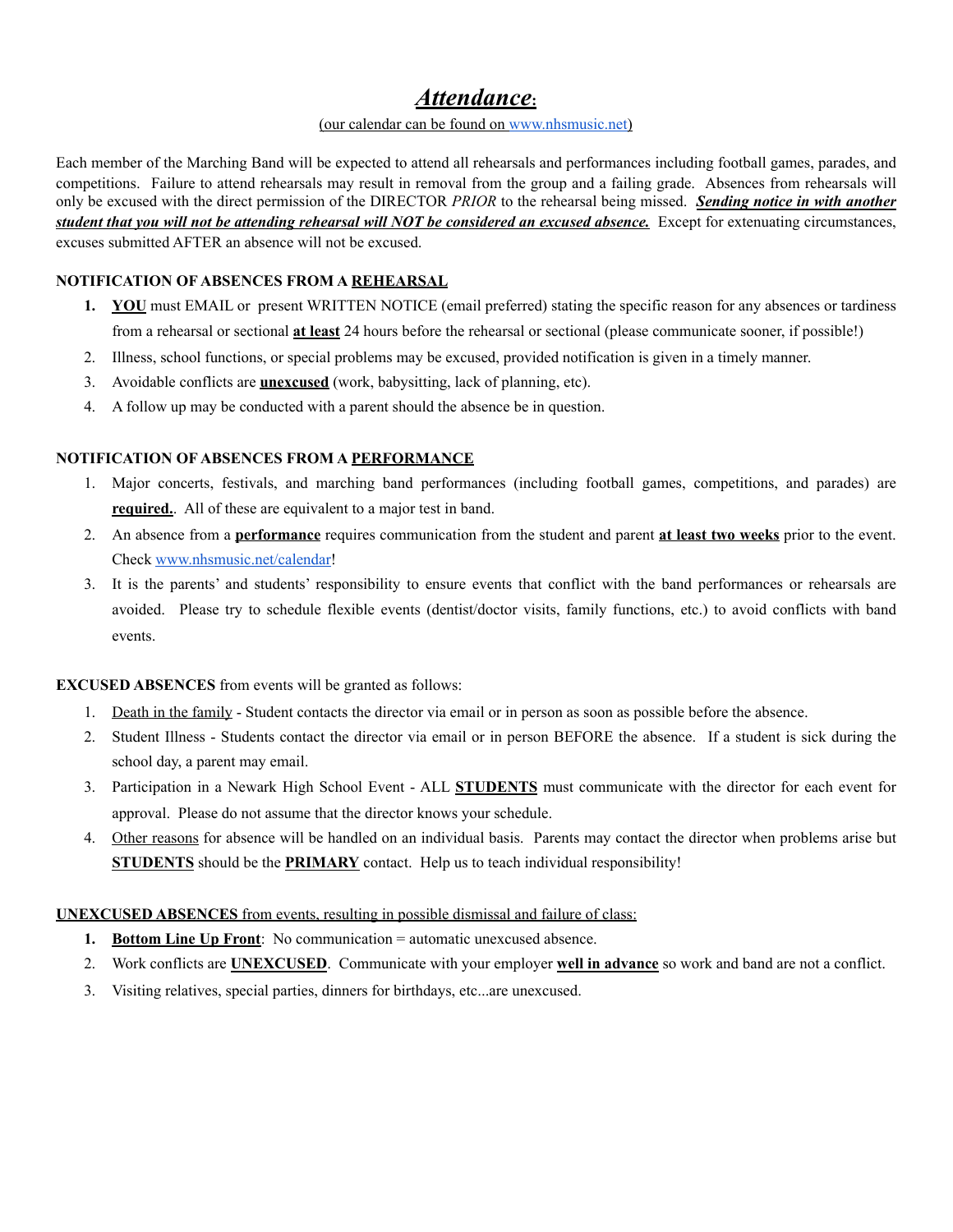### *Attendance***:**

#### (our calendar can be found on [www.nhsmusic.net](http://www.nhsmusic.net))

Each member of the Marching Band will be expected to attend all rehearsals and performances including football games, parades, and competitions. Failure to attend rehearsals may result in removal from the group and a failing grade. Absences from rehearsals will only be excused with the direct permission of the DIRECTOR *PRIOR* to the rehearsal being missed. *Sending notice in with another student that you will not be attending rehearsal will NOT be considered an excused absence.*Except for extenuating circumstances, excuses submitted AFTER an absence will not be excused.

#### **NOTIFICATION OF ABSENCES FROM A REHEARSAL**

- 1. **YOU** must EMAIL or present WRITTEN NOTICE (email preferred) stating the specific reason for any absences or tardiness from a rehearsal or sectional **at least** 24 hours before the rehearsal or sectional (please communicate sooner, if possible!)
- 2. Illness, school functions, or special problems may be excused, provided notification is given in a timely manner.
- 3. Avoidable conflicts are **unexcused** (work, babysitting, lack of planning, etc).
- 4. A follow up may be conducted with a parent should the absence be in question.

#### **NOTIFICATION OF ABSENCES FROM A PERFORMANCE**

- 1. Major concerts, festivals, and marching band performances (including football games, competitions, and parades) are **required.**. All of these are equivalent to a major test in band.
- 2. An absence from a **performance** requires communication from the student and parent **at least two weeks** prior to the event. Check [www.nhsmusic.net/calendar!](http://www.nhsmusic.net/calendar)
- 3. It is the parents' and students' responsibility to ensure events that conflict with the band performances or rehearsals are avoided. Please try to schedule flexible events (dentist/doctor visits, family functions, etc.) to avoid conflicts with band events.

#### **EXCUSED ABSENCES** from events will be granted as follows:

- 1. Death in the family Student contacts the director via email or in person as soon as possible before the absence.
- 2. Student Illness Students contact the director via email or in person BEFORE the absence. If a student is sick during the school day, a parent may email.
- 3. Participation in a Newark High School Event ALL **STUDENTS** must communicate with the director for each event for approval. Please do not assume that the director knows your schedule.
- 4. Other reasons for absence will be handled on an individual basis. Parents may contact the director when problems arise but **STUDENTS** should be the **PRIMARY** contact. Help us to teach individual responsibility!

#### **UNEXCUSED ABSENCES** from events, resulting in possible dismissal and failure of class:

- **1. Bottom Line Up Front**: No communication = automatic unexcused absence.
- 2. Work conflicts are **UNEXCUSED**. Communicate with your employer **well in advance** so work and band are not a conflict.
- 3. Visiting relatives, special parties, dinners for birthdays, etc...are unexcused.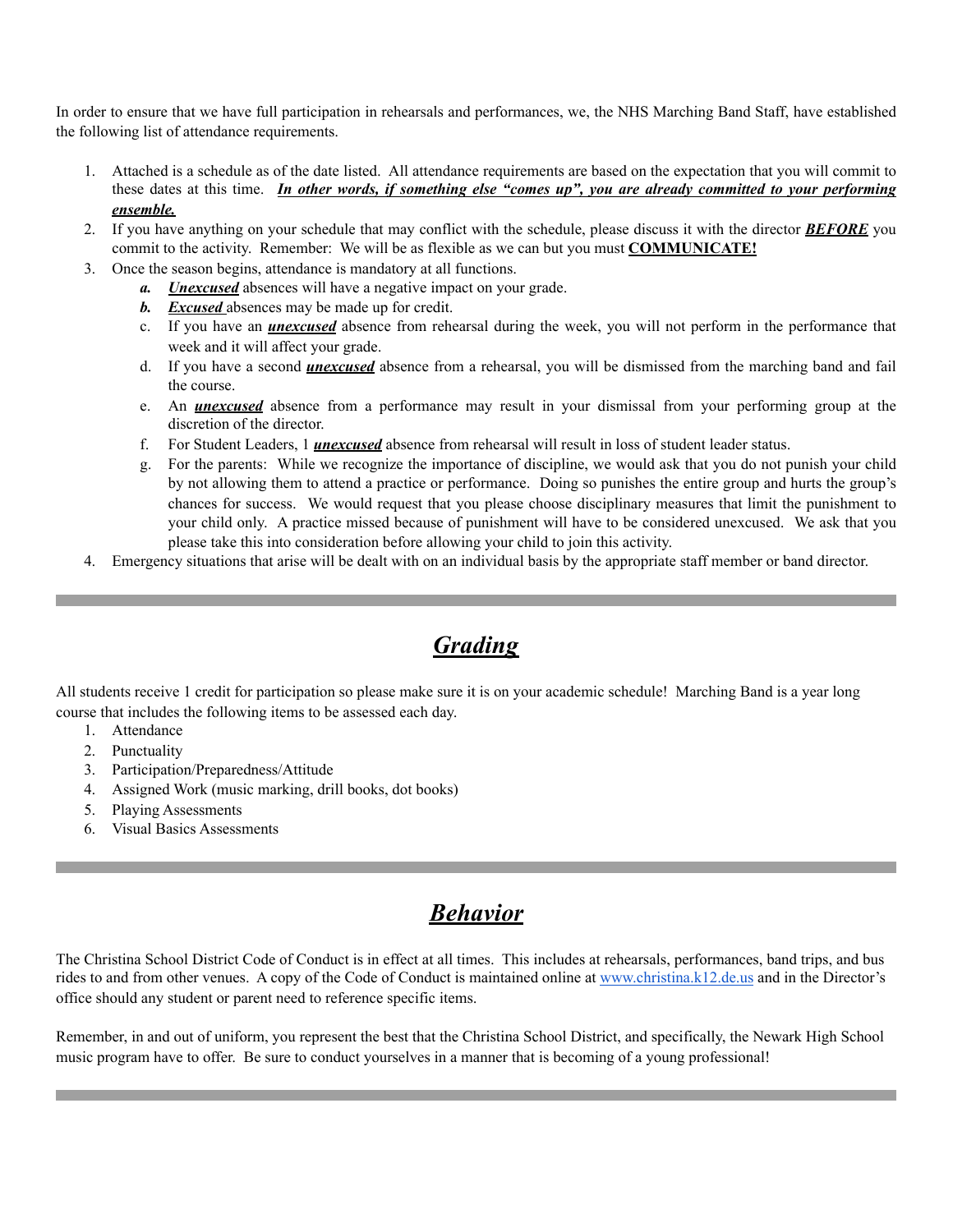In order to ensure that we have full participation in rehearsals and performances, we, the NHS Marching Band Staff, have established the following list of attendance requirements.

- 1. Attached is a schedule as of the date listed. All attendance requirements are based on the expectation that you will commit to these dates at this time. *In other words, if something else "comes up", you are already committed to your performing ensemble.*
- 2. If you have anything on your schedule that may conflict with the schedule, please discuss it with the director *BEFORE* you commit to the activity. Remember: We will be as flexible as we can but you must **COMMUNICATE!**
- 3. Once the season begins, attendance is mandatory at all functions.
	- *a. Unexcused* absences will have a negative impact on your grade.
	- *b. Excused* absences may be made up for credit.
	- c. If you have an *unexcused* absence from rehearsal during the week, you will not perform in the performance that week and it will affect your grade.
	- d. If you have a second *unexcused* absence from a rehearsal, you will be dismissed from the marching band and fail the course.
	- e. An *unexcused* absence from a performance may result in your dismissal from your performing group at the discretion of the director.
	- f. For Student Leaders, 1 *unexcused* absence from rehearsal will result in loss of student leader status.
	- g. For the parents: While we recognize the importance of discipline, we would ask that you do not punish your child by not allowing them to attend a practice or performance. Doing so punishes the entire group and hurts the group's chances for success. We would request that you please choose disciplinary measures that limit the punishment to your child only. A practice missed because of punishment will have to be considered unexcused. We ask that you please take this into consideration before allowing your child to join this activity.
- 4. Emergency situations that arise will be dealt with on an individual basis by the appropriate staff member or band director.

# *Grading*

All students receive 1 credit for participation so please make sure it is on your academic schedule! Marching Band is a year long course that includes the following items to be assessed each day.

- 1. Attendance
- 2. Punctuality
- 3. Participation/Preparedness/Attitude
- 4. Assigned Work (music marking, drill books, dot books)
- 5. Playing Assessments
- 6. Visual Basics Assessments

### *Behavior*

The Christina School District Code of Conduct is in effect at all times. This includes at rehearsals, performances, band trips, and bus rides to and from other venues. A copy of the Code of Conduct is maintained online at [www.christina.k12.de.us](http://www.christina.k12.de.us) and in the Director's office should any student or parent need to reference specific items.

Remember, in and out of uniform, you represent the best that the Christina School District, and specifically, the Newark High School music program have to offer. Be sure to conduct yourselves in a manner that is becoming of a young professional!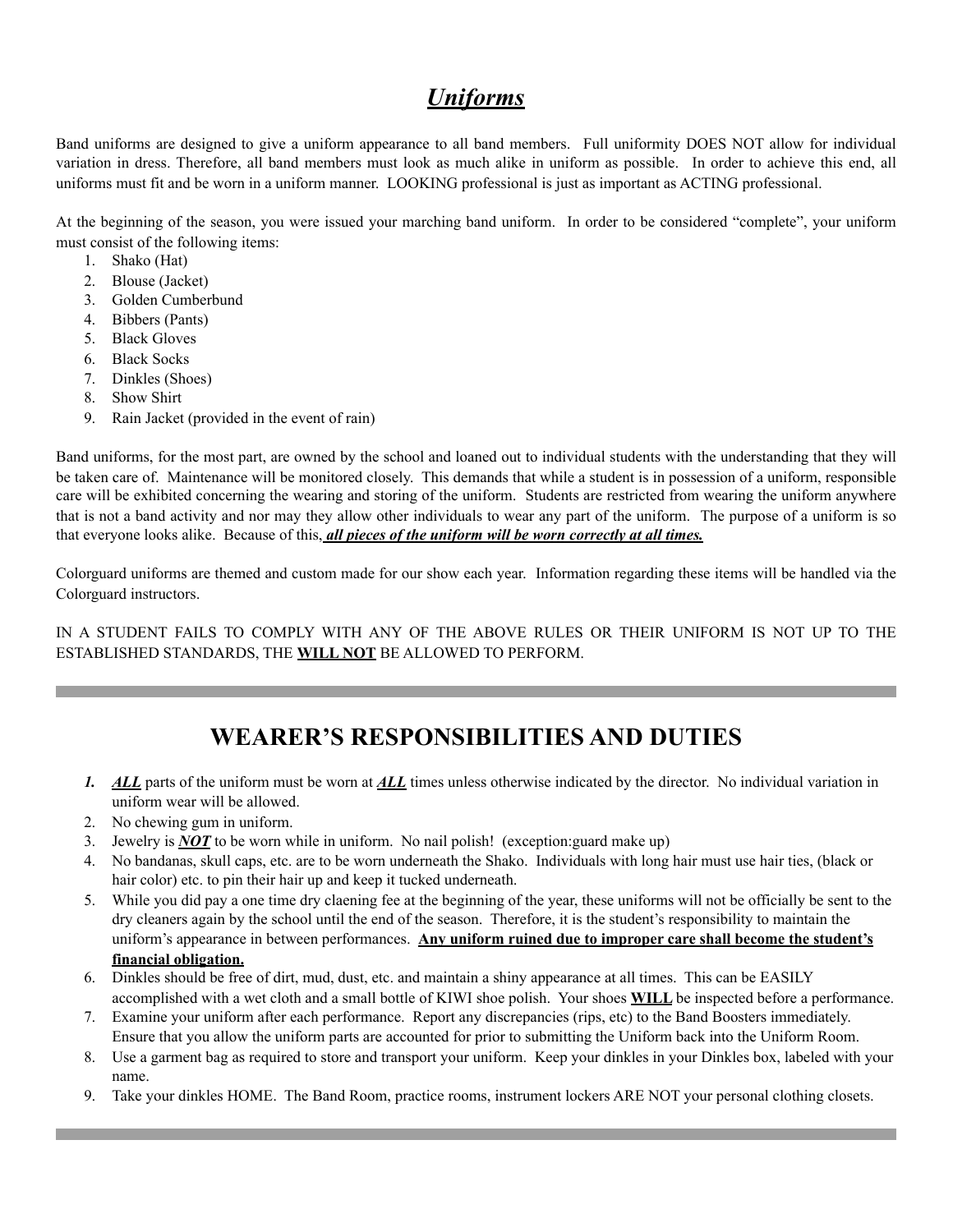### *Uniforms*

Band uniforms are designed to give a uniform appearance to all band members. Full uniformity DOES NOT allow for individual variation in dress. Therefore, all band members must look as much alike in uniform as possible. In order to achieve this end, all uniforms must fit and be worn in a uniform manner. LOOKING professional is just as important as ACTING professional.

At the beginning of the season, you were issued your marching band uniform. In order to be considered "complete", your uniform must consist of the following items:

- 1. Shako (Hat)
- 2. Blouse (Jacket)
- 3. Golden Cumberbund
- 4. Bibbers (Pants)
- 5. Black Gloves
- 6. Black Socks
- 7. Dinkles (Shoes)
- 8. Show Shirt
- 9. Rain Jacket (provided in the event of rain)

Band uniforms, for the most part, are owned by the school and loaned out to individual students with the understanding that they will be taken care of. Maintenance will be monitored closely. This demands that while a student is in possession of a uniform, responsible care will be exhibited concerning the wearing and storing of the uniform. Students are restricted from wearing the uniform anywhere that is not a band activity and nor may they allow other individuals to wear any part of the uniform. The purpose of a uniform is so that everyone looks alike. Because of this, *all pieces of the uniform will be worn correctly at all times.*

Colorguard uniforms are themed and custom made for our show each year. Information regarding these items will be handled via the Colorguard instructors.

IN A STUDENT FAILS TO COMPLY WITH ANY OF THE ABOVE RULES OR THEIR UNIFORM IS NOT UP TO THE ESTABLISHED STANDARDS, THE **WILL NOT** BE ALLOWED TO PERFORM.

## **WEARER'S RESPONSIBILITIES AND DUTIES**

- *1. ALL* parts of the uniform must be worn at *ALL* times unless otherwise indicated by the director. No individual variation in uniform wear will be allowed.
- 2. No chewing gum in uniform.
- 3. Jewelry is *NOT* to be worn while in uniform. No nail polish! (exception:guard make up)
- 4. No bandanas, skull caps, etc. are to be worn underneath the Shako. Individuals with long hair must use hair ties, (black or hair color) etc. to pin their hair up and keep it tucked underneath.
- 5. While you did pay a one time dry claening fee at the beginning of the year, these uniforms will not be officially be sent to the dry cleaners again by the school until the end of the season. Therefore, it is the student's responsibility to maintain the uniform's appearance in between performances. **Any uniform ruined due to improper care shall become the student's financial obligation.**
- 6. Dinkles should be free of dirt, mud, dust, etc. and maintain a shiny appearance at all times. This can be EASILY accomplished with a wet cloth and a small bottle of KIWI shoe polish. Your shoes **WILL** be inspected before a performance.
- 7. Examine your uniform after each performance. Report any discrepancies (rips, etc) to the Band Boosters immediately. Ensure that you allow the uniform parts are accounted for prior to submitting the Uniform back into the Uniform Room.
- 8. Use a garment bag as required to store and transport your uniform. Keep your dinkles in your Dinkles box, labeled with your name.
- 9. Take your dinkles HOME. The Band Room, practice rooms, instrument lockers ARE NOT your personal clothing closets.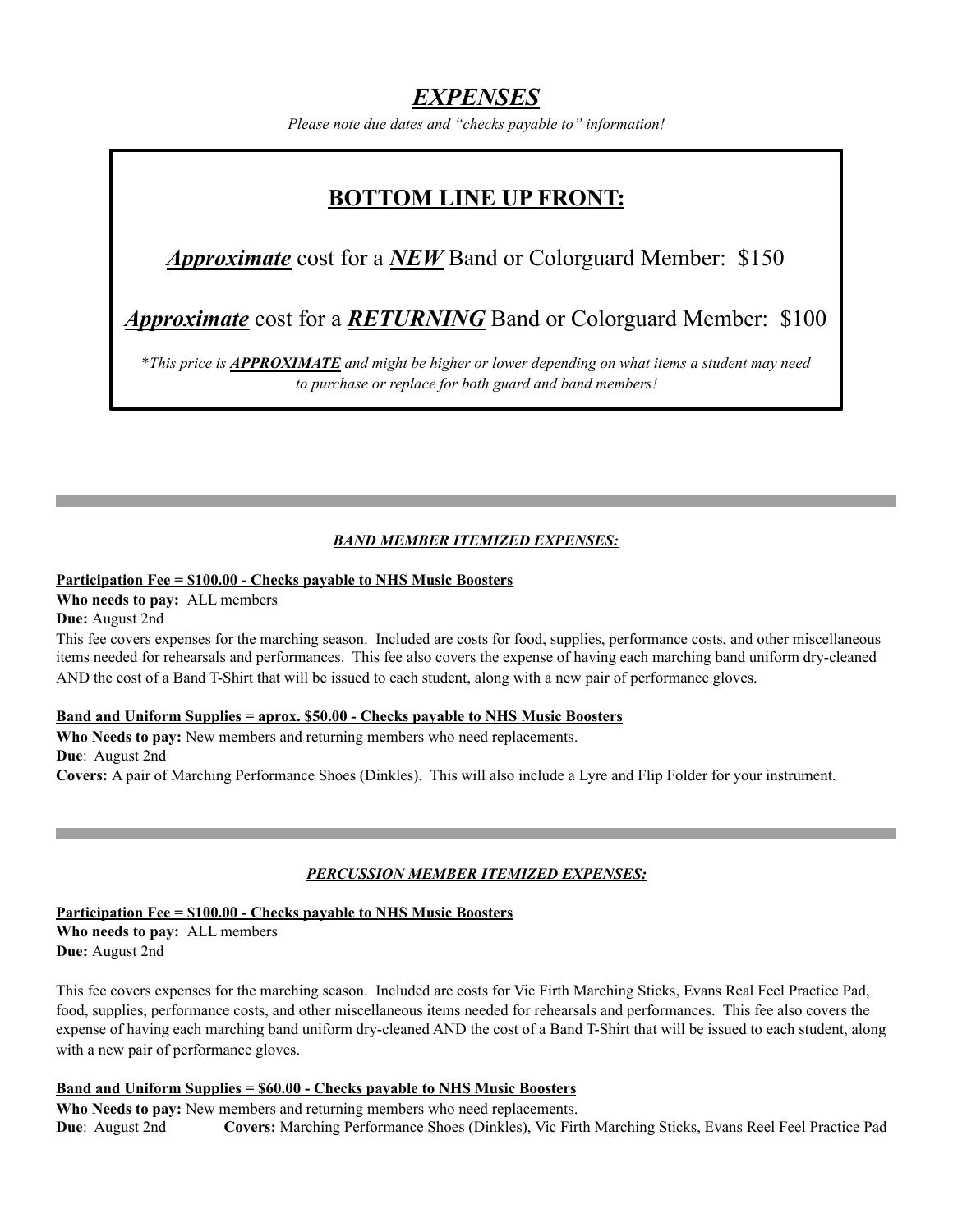### *EXPENSES*

*Please note due dates and "checks payable to" information!* 

### **BOTTOM LINE UP FRONT:**

### *Approximate* cost for a *NEW* Band or Colorguard Member: \$150

*Approximate* cost for a *RETURNING* Band or Colorguard Member: \$100

\**This price is APPROXIMATE and might be higher or lower depending on what items a student may need to purchase or replace for both guard and band members!* 

#### *BAND MEMBER ITEMIZED EXPENSES:*

#### **Participation Fee = \$100.00 - Checks payable to NHS Music Boosters**

**Who needs to pay:** ALL members

**Due:** August 2nd

This fee covers expenses for the marching season. Included are costs for food, supplies, performance costs, and other miscellaneous items needed for rehearsals and performances. This fee also covers the expense of having each marching band uniform dry-cleaned AND the cost of a Band T-Shirt that will be issued to each student, along with a new pair of performance gloves.

#### **Band and Uniform Supplies = aprox. \$50.00 - Checks payable to NHS Music Boosters**

**Who Needs to pay:** New members and returning members who need replacements. **Due**: August 2nd **Covers:** A pair of Marching Performance Shoes (Dinkles). This will also include a Lyre and Flip Folder for your instrument.

#### *PERCUSSION MEMBER ITEMIZED EXPENSES:*

**Participation Fee = \$100.00 - Checks payable to NHS Music Boosters Who needs to pay:** ALL members **Due:** August 2nd

This fee covers expenses for the marching season. Included are costs for Vic Firth Marching Sticks, Evans Real Feel Practice Pad, food, supplies, performance costs, and other miscellaneous items needed for rehearsals and performances. This fee also covers the expense of having each marching band uniform dry-cleaned AND the cost of a Band T-Shirt that will be issued to each student, along with a new pair of performance gloves.

#### **Band and Uniform Supplies = \$60.00 - Checks payable to NHS Music Boosters**

**Who Needs to pay:** New members and returning members who need replacements. **Due**: August 2nd **Covers:** Marching Performance Shoes (Dinkles), Vic Firth Marching Sticks, Evans Reel Feel Practice Pad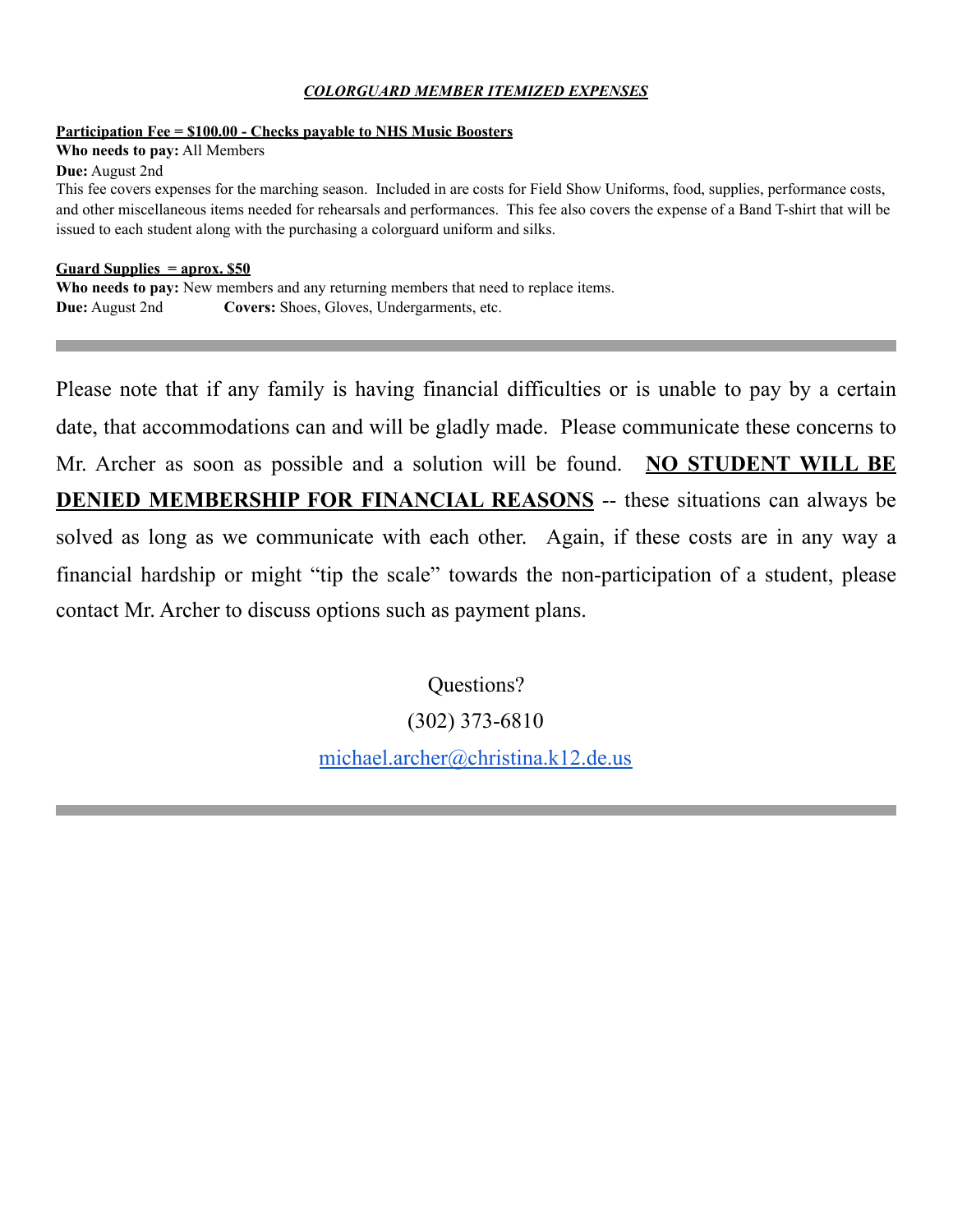#### *COLORGUARD MEMBER ITEMIZED EXPENSES*

#### **Participation Fee = \$100.00 - Checks payable to NHS Music Boosters**

**Who needs to pay:** All Members

**Due:** August 2nd

This fee covers expenses for the marching season. Included in are costs for Field Show Uniforms, food, supplies, performance costs, and other miscellaneous items needed for rehearsals and performances. This fee also covers the expense of a Band T-shirt that will be issued to each student along with the purchasing a colorguard uniform and silks.

#### **Guard Supplies = aprox. \$50**

**Who needs to pay:** New members and any returning members that need to replace items. **Due:** August 2nd **Covers:** Shoes, Gloves, Undergarments, etc.

Please note that if any family is having financial difficulties or is unable to pay by a certain date, that accommodations can and will be gladly made. Please communicate these concerns to Mr. Archer as soon as possible and a solution will be found. **NO STUDENT WILL BE DENIED MEMBERSHIP FOR FINANCIAL REASONS** -- these situations can always be solved as long as we communicate with each other. Again, if these costs are in any way a financial hardship or might "tip the scale" towards the non-participation of a student, please contact Mr. Archer to discuss options such as payment plans.

Questions?

(302) 373-6810

[michael.archer@christina.k12.de.us](mailto:michael.archer@christina.k12.de.us)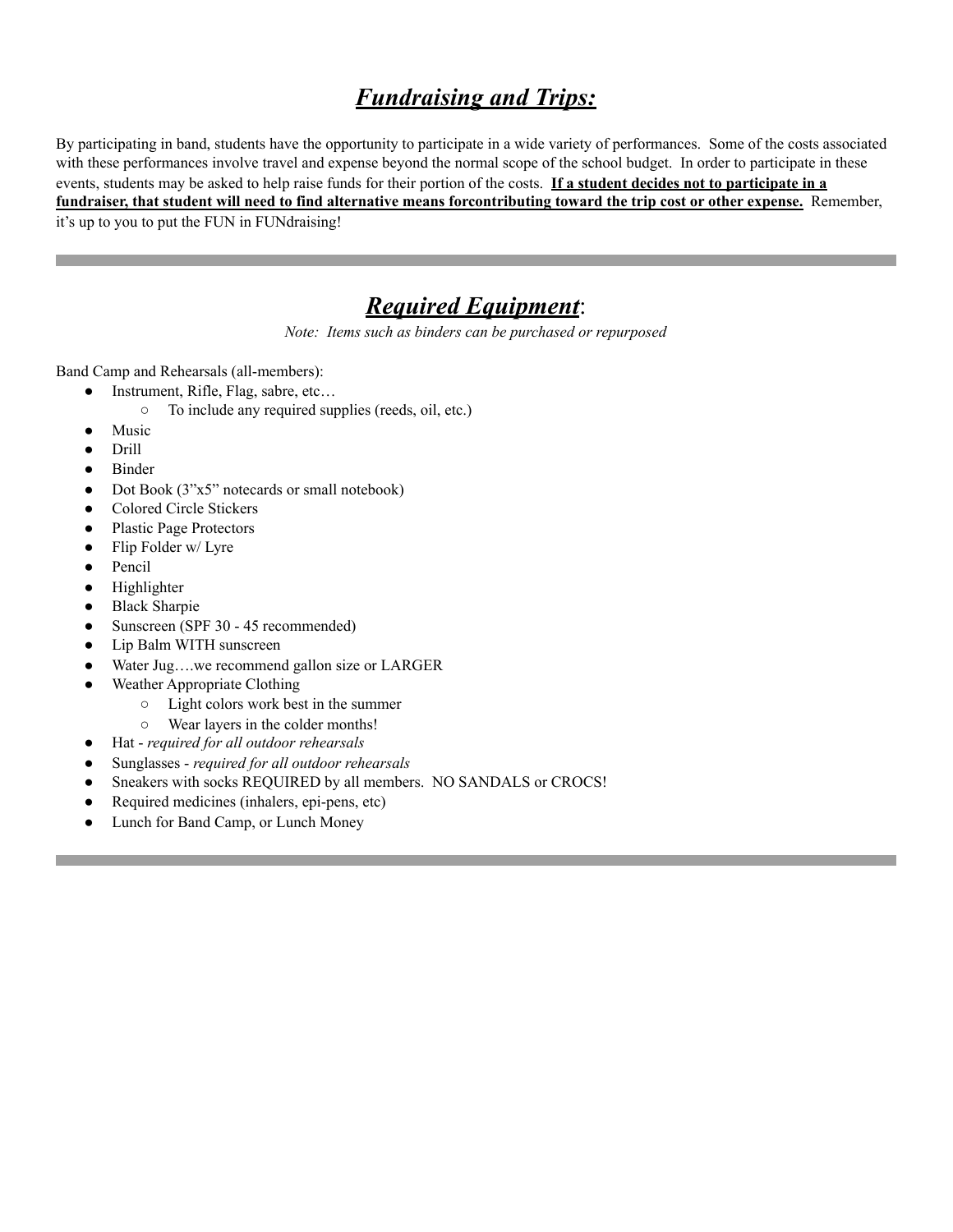## *Fundraising and Trips:*

By participating in band, students have the opportunity to participate in a wide variety of performances. Some of the costs associated with these performances involve travel and expense beyond the normal scope of the school budget. In order to participate in these events, students may be asked to help raise funds for their portion of the costs. **If a student decides not to participate in a fundraiser, that student will need to find alternative means forcontributing toward the trip cost or other expense.** Remember, it's up to you to put the FUN in FUNdraising!

### *Required Equipment*:

*Note: Items such as binders can be purchased or repurposed* 

Band Camp and Rehearsals (all-members):

- Instrument, Rifle, Flag, sabre, etc...
	- To include any required supplies (reeds, oil, etc.)
- Music
- Drill
- **Binder**
- Dot Book (3"x5" notecards or small notebook)
- Colored Circle Stickers
- Plastic Page Protectors
- Flip Folder w/ Lyre
- Pencil
- Highlighter
- **Black Sharpie**
- Sunscreen (SPF 30 45 recommended)
- Lip Balm WITH sunscreen
- Water Jug....we recommend gallon size or LARGER
- Weather Appropriate Clothing
	- Light colors work best in the summer
	- Wear layers in the colder months!
- Hat *required for all outdoor rehearsals*
- Sunglasses *required for all outdoor rehearsals*
- Sneakers with socks REQUIRED by all members. NO SANDALS or CROCS!
- Required medicines (inhalers, epi-pens, etc)
- Lunch for Band Camp, or Lunch Money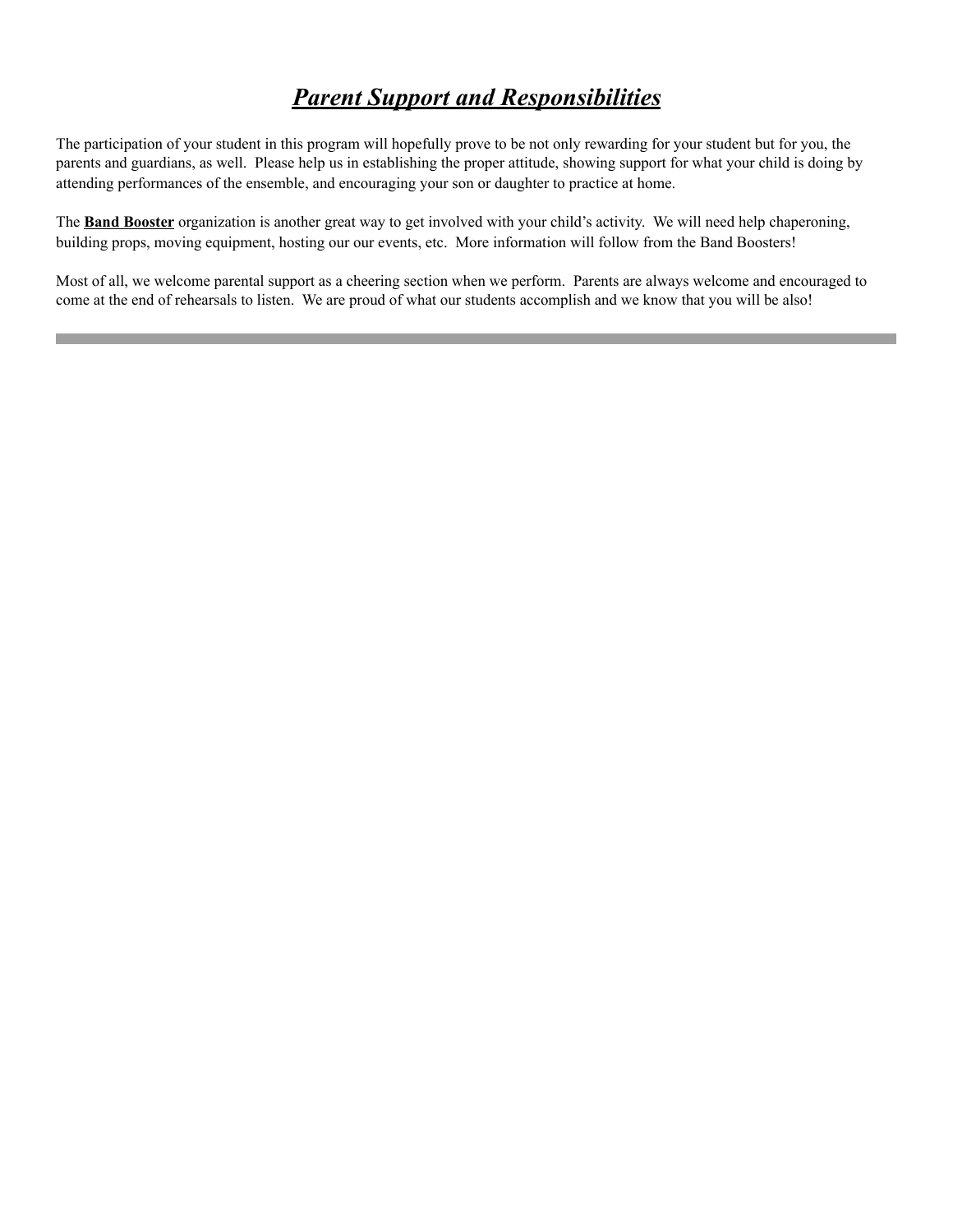### *Parent Support and Responsibilities*

The participation of your student in this program will hopefully prove to be not only rewarding for your student but for you, the parents and guardians, as well. Please help us in establishing the proper attitude, showing support for what your child is doing by attending performances of the ensemble, and encouraging your son or daughter to practice at home.

The **Band Booster** organization is another great way to get involved with your child's activity. We will need help chaperoning, building props, moving equipment, hosting our our events, etc. More information will follow from the Band Boosters!

Most of all, we welcome parental support as a cheering section when we perform. Parents are always welcome and encouraged to come at the end of rehearsals to listen. We are proud of what our students accomplish and we know that you will be also!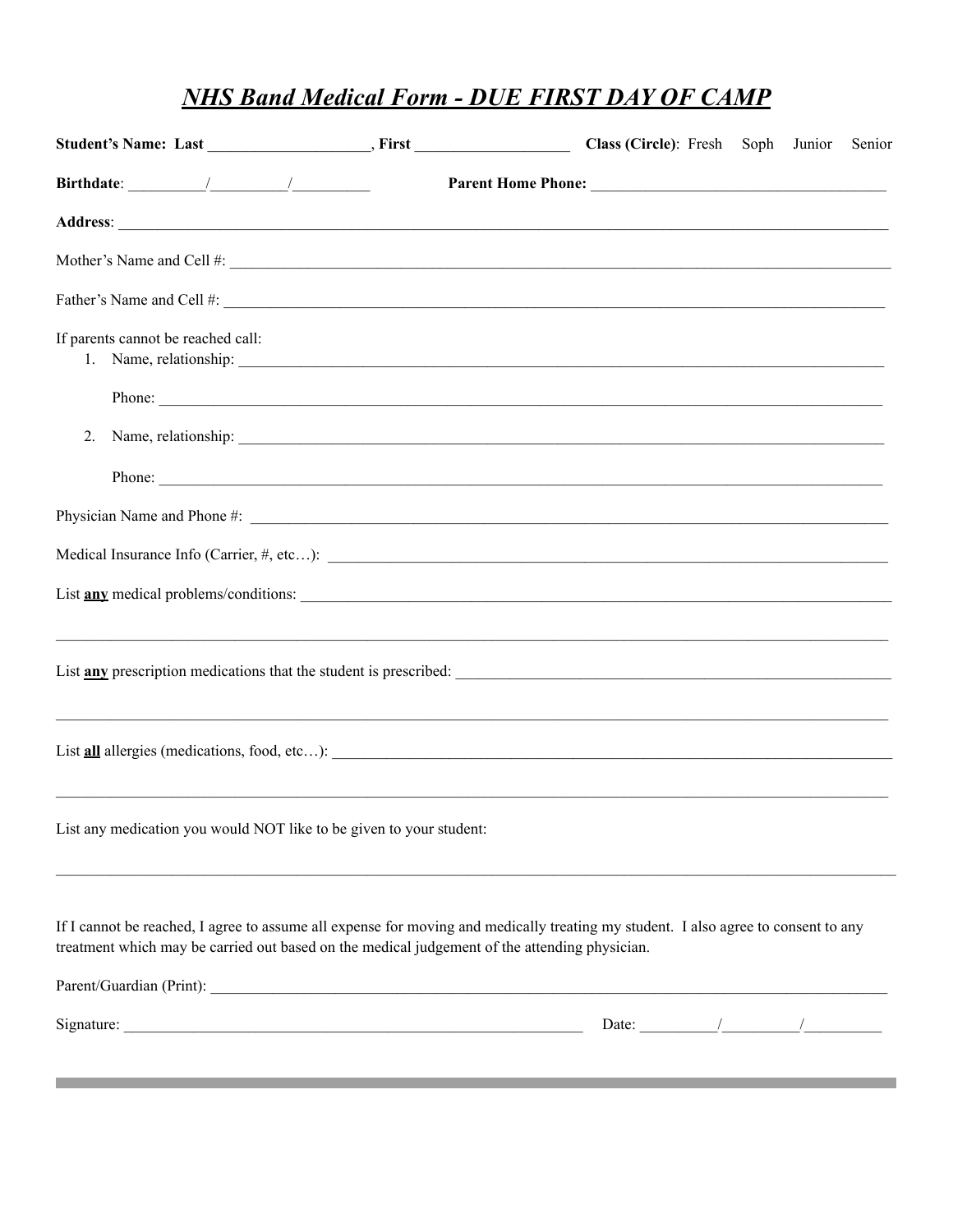# **NHS Band Medical Form - DUE FIRST DAY OF CAMP**

|                                    |                                                                     |                                                                                                                                                                                                                                     |                       |  | Senior |
|------------------------------------|---------------------------------------------------------------------|-------------------------------------------------------------------------------------------------------------------------------------------------------------------------------------------------------------------------------------|-----------------------|--|--------|
|                                    |                                                                     |                                                                                                                                                                                                                                     |                       |  |        |
|                                    |                                                                     | Address: <u>Address:</u> Address: Address: Address: Address: Address: Address: Address: Address: Address: Address: Address: Address: Address: Address: Address: Address: Address: Address: Address: Address: Address: Address: Addr |                       |  |        |
|                                    |                                                                     |                                                                                                                                                                                                                                     |                       |  |        |
|                                    |                                                                     |                                                                                                                                                                                                                                     |                       |  |        |
| If parents cannot be reached call: |                                                                     |                                                                                                                                                                                                                                     |                       |  |        |
|                                    |                                                                     | Phone:                                                                                                                                                                                                                              |                       |  |        |
| 2.                                 |                                                                     |                                                                                                                                                                                                                                     |                       |  |        |
|                                    |                                                                     |                                                                                                                                                                                                                                     |                       |  |        |
|                                    |                                                                     |                                                                                                                                                                                                                                     |                       |  |        |
|                                    |                                                                     |                                                                                                                                                                                                                                     |                       |  |        |
|                                    |                                                                     | List <b>any</b> medical problems/conditions:                                                                                                                                                                                        |                       |  |        |
|                                    |                                                                     |                                                                                                                                                                                                                                     |                       |  |        |
|                                    |                                                                     |                                                                                                                                                                                                                                     |                       |  |        |
|                                    | List any medication you would NOT like to be given to your student: |                                                                                                                                                                                                                                     |                       |  |        |
|                                    |                                                                     | If I cannot be reached, I agree to assume all expense for moving and medically treating my student. I also agree to consent to any<br>treatment which may be carried out based on the medical judgement of the attending physician. |                       |  |        |
|                                    |                                                                     |                                                                                                                                                                                                                                     |                       |  |        |
|                                    |                                                                     |                                                                                                                                                                                                                                     | Date: $\frac{1}{2}$ / |  |        |
|                                    |                                                                     |                                                                                                                                                                                                                                     |                       |  |        |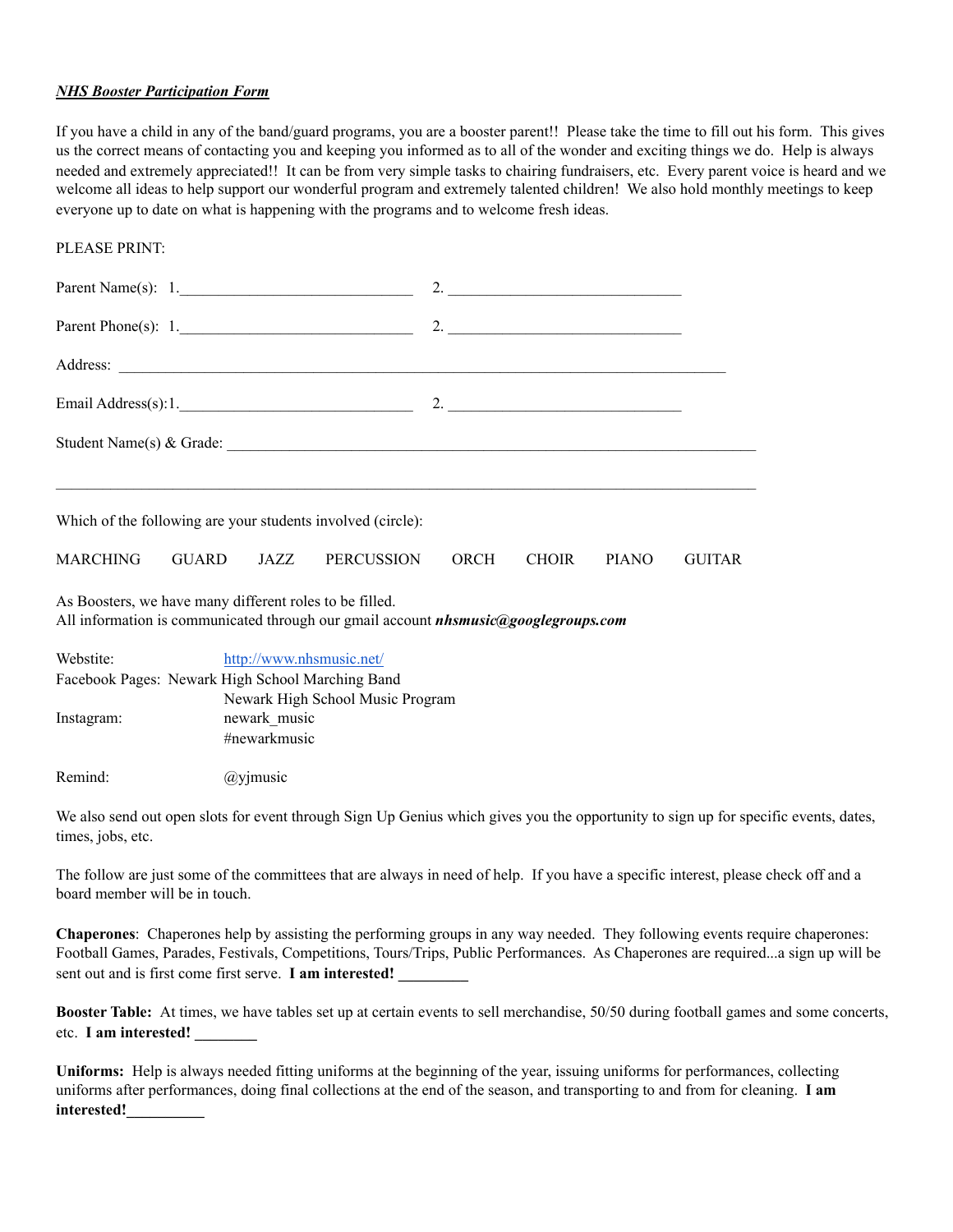#### *NHS Booster Participation Form*

If you have a child in any of the band/guard programs, you are a booster parent!! Please take the time to fill out his form. This gives us the correct means of contacting you and keeping you informed as to all of the wonder and exciting things we do. Help is always needed and extremely appreciated!! It can be from very simple tasks to chairing fundraisers, etc. Every parent voice is heard and we welcome all ideas to help support our wonderful program and extremely talented children! We also hold monthly meetings to keep everyone up to date on what is happening with the programs and to welcome fresh ideas.

#### PLEASE PRINT:

|                                                                                                                                                       |  |  | Parent Name(s): $1$ .                                       |      |              |              |               |
|-------------------------------------------------------------------------------------------------------------------------------------------------------|--|--|-------------------------------------------------------------|------|--------------|--------------|---------------|
|                                                                                                                                                       |  |  | Parent Phone(s): $1.$                                       |      |              |              |               |
|                                                                                                                                                       |  |  |                                                             |      |              |              |               |
|                                                                                                                                                       |  |  |                                                             |      |              |              |               |
|                                                                                                                                                       |  |  |                                                             |      |              |              |               |
|                                                                                                                                                       |  |  |                                                             |      |              |              |               |
|                                                                                                                                                       |  |  | Which of the following are your students involved (circle): |      |              |              |               |
| <b>MARCHING</b>                                                                                                                                       |  |  | GUARD JAZZ PERCUSSION                                       | ORCH | <b>CHOIR</b> | <b>PIANO</b> | <b>GUITAR</b> |
| As Boosters, we have many different roles to be filled.<br>All information is communicated through our gmail account <i>nhsmusic@googlegroups.com</i> |  |  |                                                             |      |              |              |               |
| Webstite:                                                                                                                                             |  |  | http://www.nhsmusic.net/                                    |      |              |              |               |

| woodle.    | $\mathbf{H}(\mathbf{U}, \mathbf{U})$ we we we have the contract of $\mathbf{U}$ |
|------------|---------------------------------------------------------------------------------|
|            | Facebook Pages: Newark High School Marching Band                                |
|            | Newark High School Music Program                                                |
| Instagram: | newark music                                                                    |
|            | #newarkmusic                                                                    |
|            |                                                                                 |

Remind: @yjmusic

We also send out open slots for event through Sign Up Genius which gives you the opportunity to sign up for specific events, dates, times, jobs, etc.

The follow are just some of the committees that are always in need of help. If you have a specific interest, please check off and a board member will be in touch.

**Chaperones**: Chaperones help by assisting the performing groups in any way needed. They following events require chaperones: Football Games, Parades, Festivals, Competitions, Tours/Trips, Public Performances. As Chaperones are required...a sign up will be sent out and is first come first serve. **I am interested!** 

**Booster Table:** At times, we have tables set up at certain events to sell merchandise, 50/50 during football games and some concerts, etc. **I am interested! \_\_\_\_\_\_\_\_** 

**Uniforms:** Help is always needed fitting uniforms at the beginning of the year, issuing uniforms for performances, collecting uniforms after performances, doing final collections at the end of the season, and transporting to and from for cleaning. **I am interested!\_\_\_\_\_\_\_\_\_\_**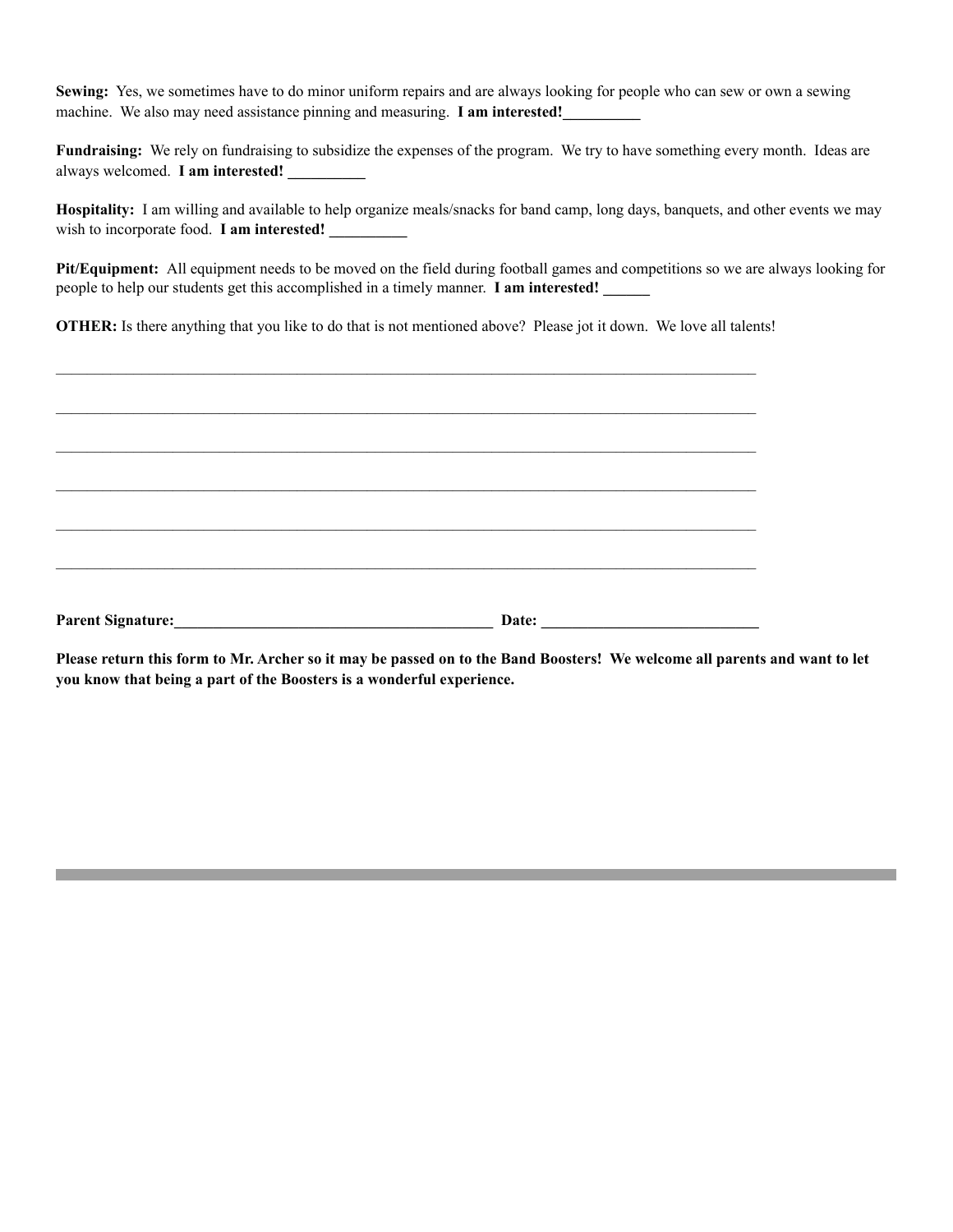**Sewing:** Yes, we sometimes have to do minor uniform repairs and are always looking for people who can sew or own a sewing machine. We also may need assistance pinning and measuring. **I am interested!** 

**Fundraising:** We rely on fundraising to subsidize the expenses of the program. We try to have something every month. Ideas are always welcomed. **I am interested!** 

**Hospitality:** I am willing and available to help organize meals/snacks for band camp, long days, banquets, and other events we may wish to incorporate food. **I am interested!** 

**Pit/Equipment:** All equipment needs to be moved on the field during football games and competitions so we are always looking for people to help our students get this accomplished in a timely manner. **I am interested! \_\_\_\_\_\_** 

**OTHER:** Is there anything that you like to do that is not mentioned above? Please jot it down. We love all talents!

| Parent Signature: | Date: |  |
|-------------------|-------|--|
|                   |       |  |
|                   |       |  |
|                   |       |  |
|                   |       |  |
|                   |       |  |

**Please return this form to Mr. Archer so it may be passed on to the Band Boosters! We welcome all parents and want to let you know that being a part of the Boosters is a wonderful experience.**